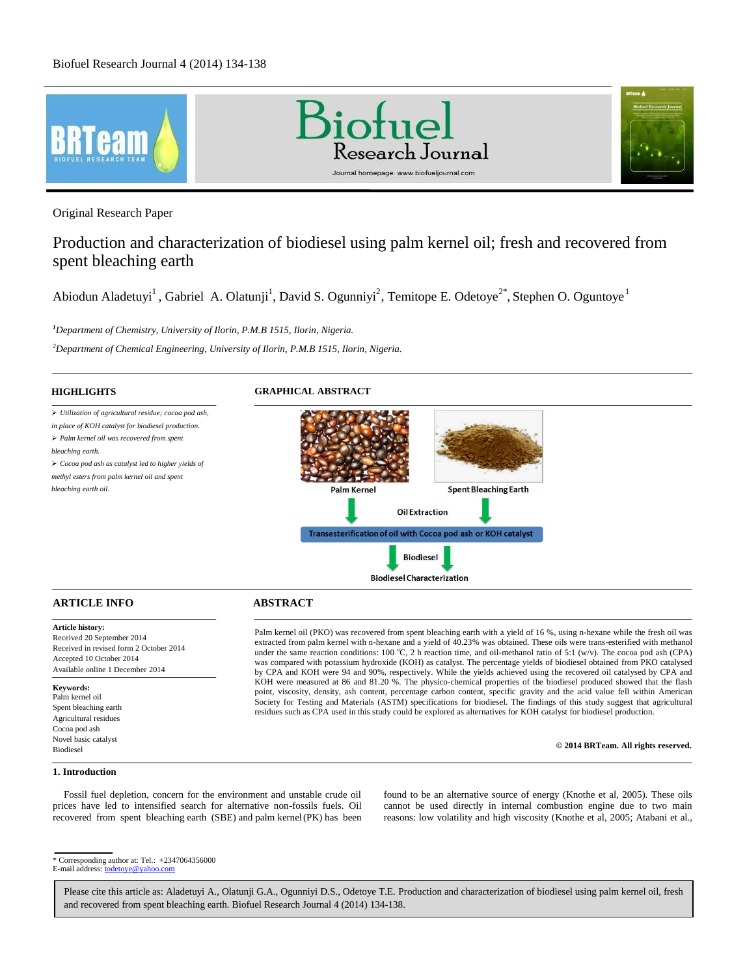

Original Research Paper

# Production and characterization of biodiesel using palm kernel oil; fresh and recovered from spent bleaching earth

Abiodun Aladetuyi<sup>1</sup>, Gabriel A. Olatunji<sup>1</sup>, David S. Ogunniyi<sup>2</sup>, Temitope E. Odetoye<sup>2\*</sup>, Stephen O. Oguntoye<sup>1</sup>

*<sup>1</sup>Department of Chemistry, University of Ilorin, P.M.B 1515, Ilorin, Nigeria.*

*<sup>2</sup>Department of Chemical Engineering, University of Ilorin, P.M.B 1515, Ilorin, Nigeria.*



# **ARTICLE INFO ABSTRACT**

### **Article history:**

Received 20 September 2014 Received in revised form 2 October 2014 Accepted 10 October 2014 Available online 1 December 2014

#### **Keywords:**

Palm kernel oil Spent bleaching earth Agricultural residues Cocoa pod ash Novel basic catalyst Biodiesel

Palm kernel oil (PKO) was recovered from spent bleaching earth with a yield of 16 %, using n-hexane while the fresh oil was extracted from palm kernel with n-hexane and a yield of 40.23% was obtained. These oils were trans-esterified with methanol under the same reaction conditions: 100 °C, 2 h reaction time, and oil-methanol ratio of 5:1 (w/v). The cocoa pod ash (CPA) was compared with potassium hydroxide (KOH) as catalyst. The percentage yields of biodiesel obtained from PKO catalysed by CPA and KOH were 94 and 90%, respectively. While the yields achieved using the recovered oil catalysed by CPA and KOH were measured at 86 and 81.20 %. The physico-chemical properties of the biodiesel produced showed that the flash point, viscosity, density, ash content, percentage carbon content, specific gravity and the acid value fell within American Society for Testing and Materials (ASTM) specifications for biodiesel. The findings of this study suggest that agricultural residues such as CPA used in this study could be explored as alternatives for KOH catalyst for biodiesel production.

#### **© 2014 BRTeam. All rights reserved.**

#### **1. Introduction**

Fossil fuel depletion, concern for the environment and unstable crude oil prices have led to intensified search for alternative non-fossils fuels. Oil recovered from spent bleaching earth (SBE) and palm kernel (PK) has been found to be an alternative source of energy (Knothe et al, 2005). These oils cannot be used directly in internal combustion engine due to two main reasons: low volatility and high viscosity (Knothe et al, 2005; Atabani et al.,

<sup>\*</sup> Corresponding author at: Tel.: +2347064356000

E-mail address: todetoye@yahoo.com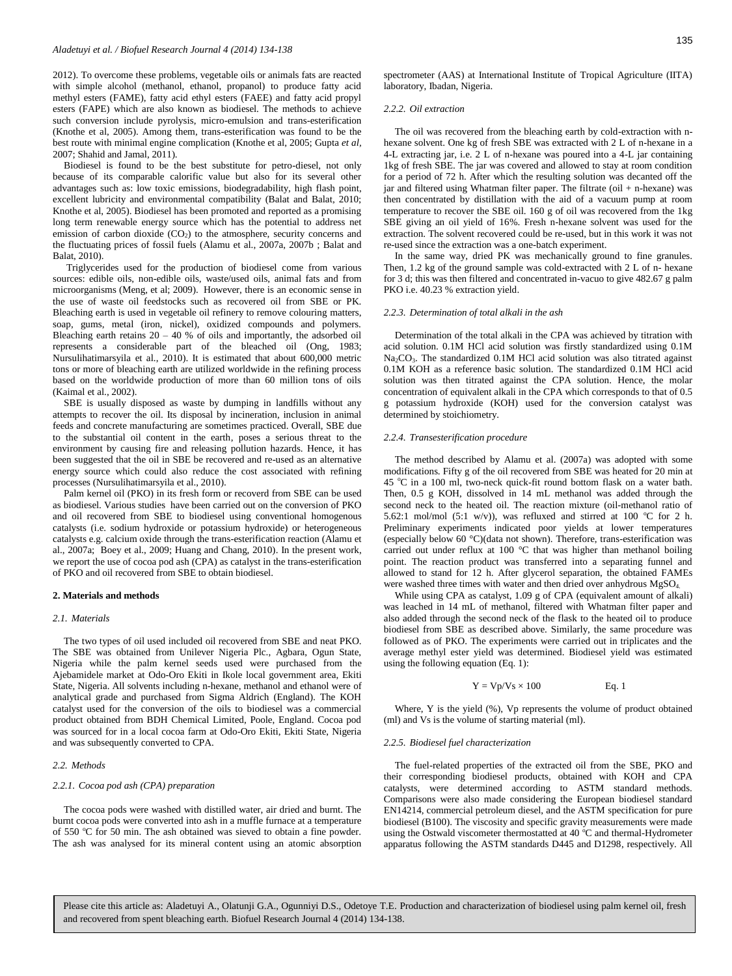2012). To overcome these problems, vegetable oils or animals fats are reacted with simple alcohol (methanol, ethanol, propanol) to produce fatty acid methyl esters (FAME), fatty acid ethyl esters (FAEE) and fatty acid propyl esters (FAPE) which are also known as biodiesel. The methods to achieve such conversion include pyrolysis, micro-emulsion and trans-esterification (Knothe et al, 2005). Among them, trans-esterification was found to be the best route with minimal engine complication (Knothe et al, 2005; Gupta *et al,*  2007; Shahid and Jamal, 2011).

Biodiesel is found to be the best substitute for petro-diesel, not only because of its comparable calorific value but also for its several other advantages such as: low toxic emissions, biodegradability, high flash point, excellent lubricity and environmental compatibility (Balat and Balat, 2010; Knothe et al, 2005). Biodiesel has been promoted and reported as a promising long term renewable energy source which has the potential to address net emission of carbon dioxide (CO<sub>2</sub>) to the atmosphere, security concerns and the fluctuating prices of fossil fuels (Alamu et al., 2007a, 2007b ; Balat and Balat, 2010).

Triglycerides used for the production of biodiesel come from various sources: edible oils, non-edible oils, waste/used oils, animal fats and from microorganisms (Meng, et al; 2009). However, there is an economic sense in the use of waste oil feedstocks such as recovered oil from SBE or PK. Bleaching earth is used in vegetable oil refinery to remove colouring matters, soap, gums, metal (iron, nickel), oxidized compounds and polymers. Bleaching earth retains  $20 - 40$  % of oils and importantly, the adsorbed oil represents a considerable part of the bleached oil (Ong, 1983; Nursulihatimarsyila et al., 2010). It is estimated that about 600,000 metric tons or more of bleaching earth are utilized worldwide in the refining process based on the worldwide production of more than 60 million tons of oils (Kaimal et al., 2002).

SBE is usually disposed as waste by dumping in landfills without any attempts to recover the oil. Its disposal by incineration, inclusion in animal feeds and concrete manufacturing are sometimes practiced. Overall, SBE due to the substantial oil content in the earth, poses a serious threat to the environment by causing fire and releasing pollution hazards. Hence, it has been suggested that the oil in SBE be recovered and re-used as an alternative energy source which could also reduce the cost associated with refining processes (Nursulihatimarsyila et al., 2010).

Palm kernel oil (PKO) in its fresh form or recoverd from SBE can be used as biodiesel. Various studies have been carried out on the conversion of PKO and oil recovered from SBE to biodiesel using conventional homogenous catalysts (i.e. sodium hydroxide or potassium hydroxide) or heterogeneous catalysts e.g. calcium oxide through the trans-esterification reaction (Alamu et al., 2007a; Boey et al., 2009; Huang and Chang, 2010). In the present work, we report the use of cocoa pod ash (CPA) as catalyst in the trans-esterification of PKO and oil recovered from SBE to obtain biodiesel.

#### **2. Materials and methods**

#### *2.1. Materials*

The two types of oil used included oil recovered from SBE and neat PKO. The SBE was obtained from Unilever Nigeria Plc., Agbara, Ogun State, Nigeria while the palm kernel seeds used were purchased from the Ajebamidele market at Odo-Oro Ekiti in Ikole local government area, Ekiti State, Nigeria. All solvents including n-hexane, methanol and ethanol were of analytical grade and purchased from Sigma Aldrich (England). The KOH catalyst used for the conversion of the oils to biodiesel was a commercial product obtained from BDH Chemical Limited, Poole, England. Cocoa pod was sourced for in a local cocoa farm at Odo-Oro Ekiti, Ekiti State, Nigeria and was subsequently converted to CPA.

#### *2.2. Methods*

#### *2.2.1. Cocoa pod ash (CPA) preparation*

The cocoa pods were washed with distilled water, air dried and burnt. The burnt cocoa pods were converted into ash in a muffle furnace at a temperature of 550 °C for 50 min. The ash obtained was sieved to obtain a fine powder. The ash was analysed for its mineral content using an atomic absorption spectrometer (AAS) at International Institute of Tropical Agriculture (IITA) laboratory, Ibadan, Nigeria.

#### *2.2.2. Oil extraction*

The oil was recovered from the bleaching earth by cold-extraction with nhexane solvent. One kg of fresh SBE was extracted with 2 L of n-hexane in a 4-L extracting jar, i.e. 2 L of n-hexane was poured into a 4-L jar containing 1kg of fresh SBE. The jar was covered and allowed to stay at room condition for a period of 72 h. After which the resulting solution was decanted off the jar and filtered using Whatman filter paper. The filtrate (oil  $+$  n-hexane) was then concentrated by distillation with the aid of a vacuum pump at room temperature to recover the SBE oil. 160 g of oil was recovered from the 1kg SBE giving an oil yield of 16%. Fresh n-hexane solvent was used for the extraction. The solvent recovered could be re-used, but in this work it was not re-used since the extraction was a one-batch experiment.

In the same way, dried PK was mechanically ground to fine granules. Then, 1.2 kg of the ground sample was cold-extracted with 2 L of n- hexane for 3 d; this was then filtered and concentrated in-vacuo to give 482.67 g palm PKO i.e. 40.23 % extraction yield.

#### *2.2.3. Determination of total alkali in the ash*

Determination of the total alkali in the CPA was achieved by titration with acid solution. 0.1M HCl acid solution was firstly standardized using 0.1M Na<sub>2</sub>CO<sub>3</sub>. The standardized 0.1M HCl acid solution was also titrated against 0.1M KOH as a reference basic solution. The standardized 0.1M HCl acid solution was then titrated against the CPA solution. Hence, the molar concentration of equivalent alkali in the CPA which corresponds to that of 0.5 g potassium hydroxide (KOH) used for the conversion catalyst was determined by stoichiometry.

#### *2.2.4. Transesterification procedure*

The method described by Alamu et al. (2007a) was adopted with some modifications. Fifty g of the oil recovered from SBE was heated for 20 min at 45 °C in a 100 ml, two-neck quick-fit round bottom flask on a water bath. Then, 0.5 g KOH, dissolved in 14 mL methanol was added through the second neck to the heated oil. The reaction mixture (oil-methanol ratio of 5.62:1 mol/mol (5:1 w/v)), was refluxed and stirred at 100 °C for 2 h. Preliminary experiments indicated poor yields at lower temperatures (especially below 60 °C)(data not shown). Therefore, trans-esterification was carried out under reflux at 100 °C that was higher than methanol boiling point. The reaction product was transferred into a separating funnel and allowed to stand for 12 h. After glycerol separation, the obtained FAMEs were washed three times with water and then dried over anhydrous MgSO<sub>4</sub>.

While using CPA as catalyst, 1.09 g of CPA (equivalent amount of alkali) was leached in 14 mL of methanol, filtered with Whatman filter paper and also added through the second neck of the flask to the heated oil to produce biodiesel from SBE as described above. Similarly, the same procedure was followed as of PKO. The experiments were carried out in triplicates and the average methyl ester yield was determined. Biodiesel yield was estimated using the following equation (Eq. 1):

$$
Y = Vp/Vs \times 100
$$
 Eq. 1

Where, Y is the yield (%), Vp represents the volume of product obtained (ml) and Vs is the volume of starting material (ml).

#### *2.2.5. Biodiesel fuel characterization*

The fuel-related properties of the extracted oil from the SBE, PKO and their corresponding biodiesel products, obtained with KOH and CPA catalysts, were determined according to ASTM standard methods. Comparisons were also made considering the European biodiesel standard EN14214, commercial petroleum diesel, and the ASTM specification for pure biodiesel (B100). The viscosity and specific gravity measurements were made using the Ostwald viscometer thermostatted at 40  $^{\circ}$ C and thermal-Hydrometer apparatus following the ASTM standards D445 and D1298, respectively. All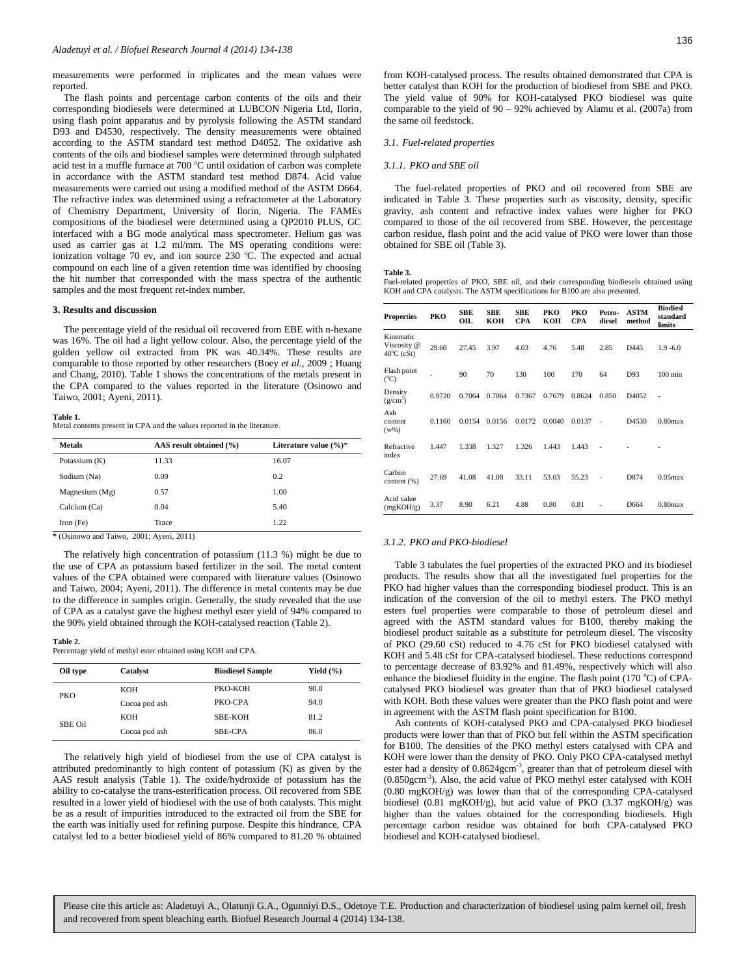measurements were performed in triplicates and the mean values were reported.

The flash points and percentage carbon contents of the oils and their corresponding biodiesels were determined at LUBCON Nigeria Ltd, Ilorin, using flash point apparatus and by pyrolysis following the ASTM standard D93 and D4530, respectively. The density measurements were obtained according to the ASTM standard test method D4052. The oxidative ash contents of the oils and biodiesel samples were determined through sulphated acid test in a muffle furnace at  $700\degree C$  until oxidation of carbon was complete in accordance with the ASTM standard test method D874. Acid value measurements were carried out using a modified method of the ASTM D664. The refractive index was determined using a refractometer at the Laboratory of Chemistry Department, University of Ilorin, Nigeria. The FAMEs compositions of the biodiesel were determined using a QP2010 PLUS, GC interfaced with a BG mode analytical mass spectrometer. Helium gas was used as carrier gas at 1.2 ml/mm. The MS operating conditions were: ionization voltage 70 ev, and ion source 230  $^{\circ}$ C. The expected and actual compound on each line of a given retention time was identified by choosing the hit number that corresponded with the mass spectra of the authentic samples and the most frequent ret-index number.

#### **3. Results and discussion**

The percentage yield of the residual oil recovered from EBE with n-hexane was 16%. The oil had a light yellow colour. Also, the percentage yield of the golden yellow oil extracted from PK was 40.34%. These results are comparable to those reported by other researchers (Boey *et al.,* 2009 ; Huang and Chang, 2010). Table 1 shows the concentrations of the metals present in the CPA compared to the values reported in the literature (Osinowo and Taiwo, 2001; Ayeni, 2011).

#### **Table 1.**

Metal contents present in CPA and the values reported in the literature.

| <b>Metals</b>    | AAS result obtained (%) | Literature value $(\%)^*$ |
|------------------|-------------------------|---------------------------|
| Potassium (K)    | 11.33                   | 16.07                     |
| Sodium (Na)      | 0.09                    | 0.2                       |
| Magnesium $(Mg)$ | 0.57                    | 1.00                      |
| Calcium (Ca)     | 0.04                    | 5.40                      |
| Iron $(Fe)$      | Trace                   | 1.22                      |

**\*** (Osinowo and Taiwo, 2001; Ayeni, 2011)

The relatively high concentration of potassium (11.3 %) might be due to the use of CPA as potassium based fertilizer in the soil. The metal content values of the CPA obtained were compared with literature values (Osinowo and Taiwo, 2004; Ayeni, 2011). The difference in metal contents may be due to the difference in samples origin. Generally, the study revealed that the use of CPA as a catalyst gave the highest methyl ester yield of 94% compared to the 90% yield obtained through the KOH-catalysed reaction (Table 2).

#### **Table 2.**

Percentage yield of methyl ester obtained using KOH and CPA.

| Oil type | Catalyst      | <b>Biodiesel Sample</b> | Yield $(\% )$ |
|----------|---------------|-------------------------|---------------|
| PKO      | <b>KOH</b>    | PKO-KOH                 | 90.0          |
|          | Cocoa pod ash | PKO-CPA                 | 94.0          |
| SBE Oil  | <b>KOH</b>    | SBE-KOH                 | 81.2          |
|          | Cocoa pod ash | SBE-CPA                 | 86.0          |

The relatively high yield of biodiesel from the use of CPA catalyst is attributed predominantly to high content of potassium (K) as given by the AAS result analysis (Table 1). The oxide/hydroxide of potassium has the ability to co-catalyse the trans-esterification process. Oil recovered from SBE resulted in a lower yield of biodiesel with the use of both catalysts. This might be as a result of impurities introduced to the extracted oil from the SBE for the earth was initially used for refining purpose. Despite this hindrance, CPA catalyst led to a better biodiesel yield of 86% compared to 81.20 % obtained

from KOH-catalysed process. The results obtained demonstrated that CPA is better catalyst than KOH for the production of biodiesel from SBE and PKO. The yield value of 90% for KOH-catalysed PKO biodiesel was quite comparable to the yield of 90 – 92% achieved by Alamu et al. (2007a) from the same oil feedstock.

#### *3.1. Fuel-related properties*

#### *3.1.1. PKO and SBE oil*

The fuel-related properties of PKO and oil recovered from SBE are indicated in Table 3. These properties such as viscosity, density, specific gravity, ash content and refractive index values were higher for PKO compared to those of the oil recovered from SBE. However, the percentage carbon residue, flash point and the acid value of PKO were lower than those obtained for SBE oil (Table 3).

#### **Table 3.**

Fuel-related properties of PKO, SBE oil, and their corresponding biodiesels obtained using KOH and CPA catalysts. The ASTM specifications for B100 are also presented.

| <b>Properties</b>                                | PKO    | <b>SBE</b><br>OIL | <b>SBE</b><br>KOH | <b>SBE</b><br><b>CPA</b> | PKO<br>кон | PKO<br><b>CPA</b> | Petro-<br>diesel         | <b>ASTM</b><br>method | <b>Biodiesl</b><br>standard<br>limits |
|--------------------------------------------------|--------|-------------------|-------------------|--------------------------|------------|-------------------|--------------------------|-----------------------|---------------------------------------|
| Kinematic<br>Viscosity @<br>$40^{\circ}$ C (cSt) | 29.60  | 27.45             | 3.97              | 4.03                     | 4.76       | 5.48              | 2.85                     | D445                  | $1.9 - 6.0$                           |
| Flash point<br>$(C^{\circ}C)$                    |        | 90                | 70                | 130                      | 100        | 170               | 64                       | D93                   | $100$ min                             |
| Density<br>(g/cm <sup>3</sup> )                  | 0.9720 | 0.7064            | 0.7064            | 0.7367                   | 0.7679     | 0.8624            | 0.850                    | D <sub>4052</sub>     |                                       |
| Ash<br>content<br>$(w\%)$                        | 0.1160 | 0.0154            | 0.0156            | 0.0172                   | 0.0040     | 0.0137            | $\overline{\phantom{a}}$ | D <sub>4530</sub>     | $0.80$ max                            |
| Refractive<br>index                              | 1.447  | 1.338             | 1.327             | 1.326                    | 1.443      | 1.443             | $\overline{\phantom{a}}$ |                       |                                       |
| Carbon<br>content (%)                            | 27.69  | 41.08             | 41.08             | 33.11                    | 53.03      | 55.23             |                          | D874                  | $0.05$ max                            |
| Acid value<br>(mgKOH/g)                          | 3.37   | 8.90              | 6.21              | 4.88                     | 0.80       | 0.81              |                          | D664                  | $0.80$ max                            |

#### *3.1.2. PKO and PKO-biodiesel*

Table 3 tabulates the fuel properties of the extracted PKO and its biodiesel products. The results show that all the investigated fuel properties for the PKO had higher values than the corresponding biodiesel product. This is an indication of the conversion of the oil to methyl esters. The PKO methyl esters fuel properties were comparable to those of petroleum diesel and agreed with the ASTM standard values for B100, thereby making the biodiesel product suitable as a substitute for petroleum diesel. The viscosity of PKO (29.60 cSt) reduced to 4.76 cSt for PKO biodiesel catalysed with KOH and 5.48 cSt for CPA-catalysed biodiesel. These reductions correspond to percentage decrease of 83.92% and 81.49%, respectively which will also enhance the biodiesel fluidity in the engine. The flash point (170 °C) of CPAcatalysed PKO biodiesel was greater than that of PKO biodiesel catalysed with KOH. Both these values were greater than the PKO flash point and were in agreement with the ASTM flash point specification for B100.

Ash contents of KOH-catalysed PKO and CPA-catalysed PKO biodiesel products were lower than that of PKO but fell within the ASTM specification for B100. The densities of the PKO methyl esters catalysed with CPA and KOH were lower than the density of PKO. Only PKO CPA-catalysed methyl ester had a density of 0.8624gcm<sup>-3</sup>, greater than that of petroleum diesel with (0.850gcm-3 ). Also, the acid value of PKO methyl ester catalysed with KOH (0.80 mgKOH/g) was lower than that of the corresponding CPA-catalysed biodiesel (0.81 mgKOH/g), but acid value of PKO (3.37 mgKOH/g) was higher than the values obtained for the corresponding biodiesels. High percentage carbon residue was obtained for both CPA-catalysed PKO biodiesel and KOH-catalysed biodiesel.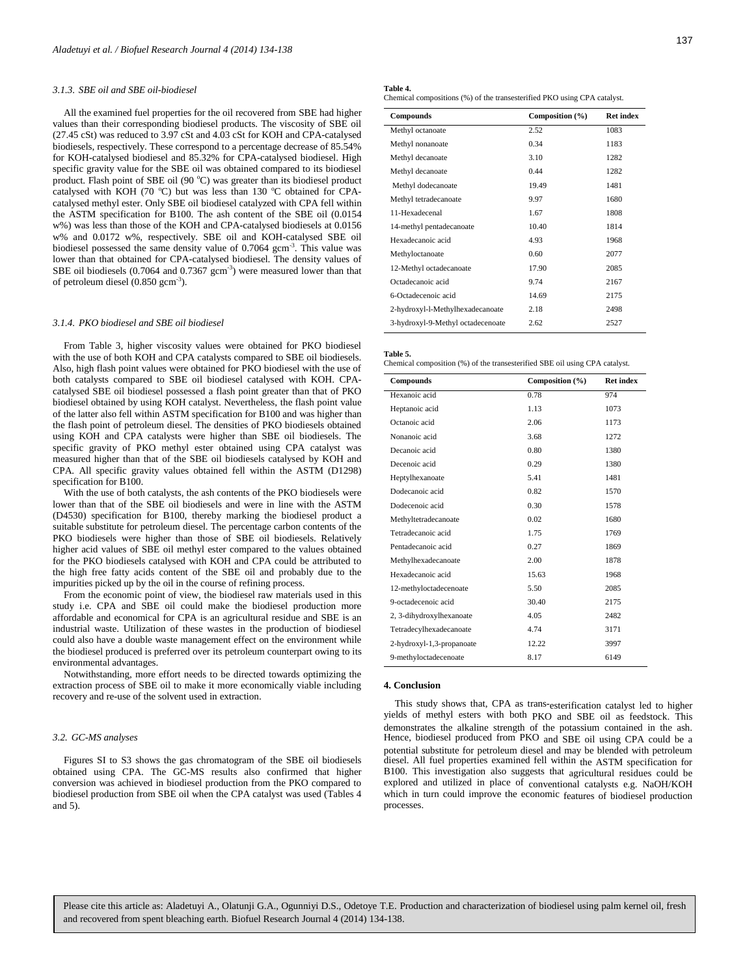#### *3.1.3. SBE oil and SBE oil-biodiesel*

All the examined fuel properties for the oil recovered from SBE had higher values than their corresponding biodiesel products. The viscosity of SBE oil (27.45 cSt) was reduced to 3.97 cSt and 4.03 cSt for KOH and CPA-catalysed biodiesels, respectively. These correspond to a percentage decrease of 85.54% for KOH-catalysed biodiesel and 85.32% for CPA-catalysed biodiesel. High specific gravity value for the SBE oil was obtained compared to its biodiesel product. Flash point of SBE oil  $(90 °C)$  was greater than its biodiesel product catalysed with KOH (70  $^{\circ}$ C) but was less than 130  $^{\circ}$ C obtained for CPAcatalysed methyl ester. Only SBE oil biodiesel catalyzed with CPA fell within the ASTM specification for B100. The ash content of the SBE oil (0.0154 w%) was less than those of the KOH and CPA-catalysed biodiesels at 0.0156 w% and 0.0172 w%, respectively. SBE oil and KOH-catalysed SBE oil biodiesel possessed the same density value of 0.7064 gcm<sup>-3</sup>. This value was lower than that obtained for CPA-catalysed biodiesel. The density values of SBE oil biodiesels  $(0.7064$  and  $0.7367$  gcm<sup>-3</sup>) were measured lower than that of petroleum diesel (0.850 gcm<sup>-3</sup>).

#### *3.1.4. PKO biodiesel and SBE oil biodiesel*

From Table 3, higher viscosity values were obtained for PKO biodiesel with the use of both KOH and CPA catalysts compared to SBE oil biodiesels. Also, high flash point values were obtained for PKO biodiesel with the use of both catalysts compared to SBE oil biodiesel catalysed with KOH. CPAcatalysed SBE oil biodiesel possessed a flash point greater than that of PKO biodiesel obtained by using KOH catalyst. Nevertheless, the flash point value of the latter also fell within ASTM specification for B100 and was higher than the flash point of petroleum diesel. The densities of PKO biodiesels obtained using KOH and CPA catalysts were higher than SBE oil biodiesels. The specific gravity of PKO methyl ester obtained using CPA catalyst was measured higher than that of the SBE oil biodiesels catalysed by KOH and CPA. All specific gravity values obtained fell within the ASTM (D1298) specification for B100.

With the use of both catalysts, the ash contents of the PKO biodiesels were lower than that of the SBE oil biodiesels and were in line with the ASTM (D4530) specification for B100, thereby marking the biodiesel product a suitable substitute for petroleum diesel. The percentage carbon contents of the PKO biodiesels were higher than those of SBE oil biodiesels. Relatively higher acid values of SBE oil methyl ester compared to the values obtained for the PKO biodiesels catalysed with KOH and CPA could be attributed to the high free fatty acids content of the SBE oil and probably due to the impurities picked up by the oil in the course of refining process.

From the economic point of view, the biodiesel raw materials used in this study i.e. CPA and SBE oil could make the biodiesel production more affordable and economical for CPA is an agricultural residue and SBE is an industrial waste. Utilization of these wastes in the production of biodiesel could also have a double waste management effect on the environment while the biodiesel produced is preferred over its petroleum counterpart owing to its environmental advantages.

Notwithstanding, more effort needs to be directed towards optimizing the extraction process of SBE oil to make it more economically viable including recovery and re-use of the solvent used in extraction.

#### *3.2. GC-MS analyses*

Figures SI to S3 shows the gas chromatogram of the SBE oil biodiesels obtained using CPA. The GC-MS results also confirmed that higher conversion was achieved in biodiesel production from the PKO compared to biodiesel production from SBE oil when the CPA catalyst was used (Tables 4 and 5).

| Fable 4. |  |
|----------|--|
|----------|--|

**Table 4.**  Chemical compositions (%) of the transesterified PKO using CPA catalyst.

| <b>Compounds</b>                  | Composition (%) | <b>Ret index</b> |
|-----------------------------------|-----------------|------------------|
| Methyl octanoate                  | 2.52            | 1083             |
| Methyl nonanoate                  | 0.34            | 1183             |
| Methyl decanoate                  | 3.10            | 1282             |
| Methyl decanoate                  | 0.44            | 1282             |
| Methyl dodecanoate                | 19.49           | 1481             |
| Methyl tetradecanoate             | 9.97            | 1680             |
| 11-Hexadecenal                    | 1.67            | 1808             |
| 14-methyl pentadecanoate          | 10.40           | 1814             |
| Hexadecanoic acid                 | 4.93            | 1968             |
| Methyloctanoate                   | 0.60            | 2077             |
| 12-Methyl octadecanoate           | 17.90           | 2085             |
| Octadecanoic acid                 | 9.74            | 2167             |
| 6-Octadecenoic acid               | 14.69           | 2175             |
| 2-hydroxyl-l-Methylhexadecanoate  | 2.18            | 2498             |
| 3-hydroxyl-9-Methyl octadecenoate | 2.62            | 2527             |

**Table 5.** 

Chemical composition (%) of the transesterified SBE oil using CPA catalyst.

| <b>Compounds</b>          | Composition (%) | <b>Ret index</b> |
|---------------------------|-----------------|------------------|
| Hexanoic acid             | 0.78            | 974              |
| Heptanoic acid            | 1.13            | 1073             |
| Octanoic acid             | 2.06            | 1173             |
| Nonanoic acid             | 3.68            | 1272             |
| Decanoic acid             | 0.80            | 1380             |
| Decenoic acid             | 0.29            | 1380             |
| Heptylhexanoate           | 5.41            | 1481             |
| Dodecanoic acid           | 0.82            | 1570             |
| Dodecenoic acid           | 0.30            | 1578             |
| Methyltetradecanoate      | 0.02            | 1680             |
| Tetradecanoic acid        | 1.75            | 1769             |
| Pentadecanoic acid        | 0.27            | 1869             |
| Methylhexadecanoate       | 2.00            | 1878             |
| Hexadecanoic acid         | 15.63           | 1968             |
| 12-methyloctadecenoate    | 5.50            | 2085             |
| 9-octadecenoic acid       | 30.40           | 2175             |
| 2, 3-dihydroxylhexanoate  | 4.05            | 2482             |
| Tetradecylhexadecanoate   | 4.74            | 3171             |
| 2-hydroxyl-1,3-propanoate | 12.22           | 3997             |
| 9-methyloctadecenoate     | 8.17            | 6149             |
|                           |                 |                  |

#### **4. Conclusion**

This study shows that, CPA as trans-esterification catalyst led to higher yields of methyl esters with both PKO and SBE oil as feedstock. This demonstrates the alkaline strength of the potassium contained in the ash. Hence, biodiesel produced from PKO and SBE oil using CPA could be a potential substitute for petroleum diesel and may be blended with petroleum diesel. All fuel properties examined fell within the ASTM specification for B100. This investigation also suggests that agricultural residues could be explored and utilized in place of conventional catalysts e.g. NaOH/KOH which in turn could improve the economic features of biodiesel production processes.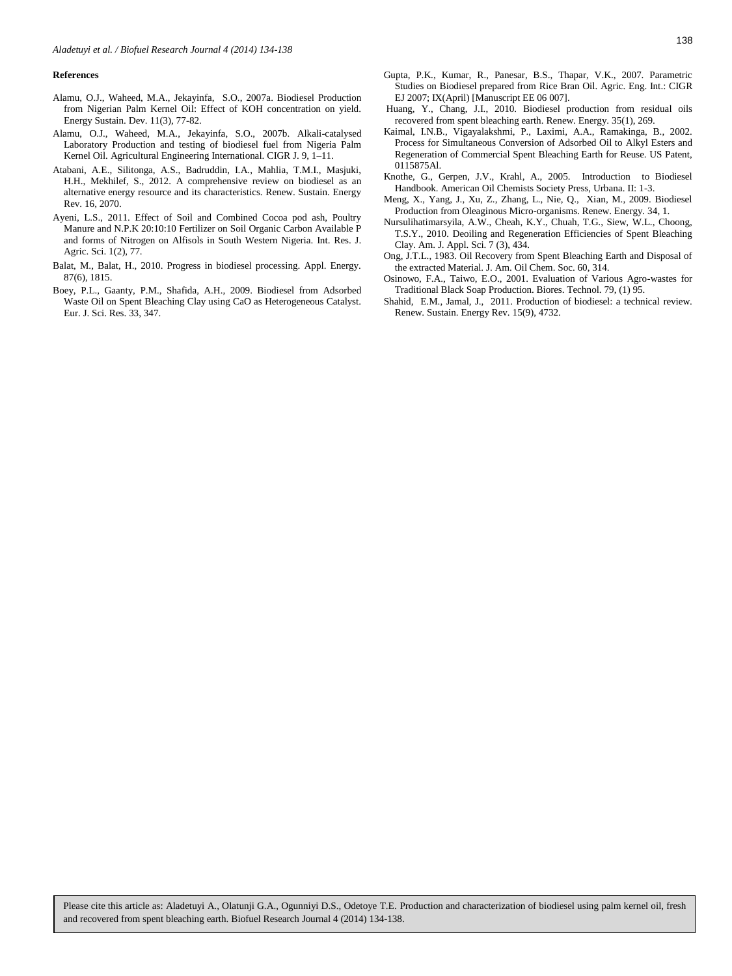#### **References**

- Alamu, O.J., Waheed, M.A., Jekayinfa, S.O., 2007a. Biodiesel Production from Nigerian Palm Kernel Oil: Effect of KOH concentration on yield. Energy Sustain. Dev. 11(3), 77-82.
- Alamu, O.J., Waheed, M.A., Jekayinfa, S.O., 2007b. Alkali-catalysed Laboratory Production and testing of biodiesel fuel from Nigeria Palm Kernel Oil. Agricultural Engineering International. CIGR J. 9, 1–11.
- Atabani, A.E., Silitonga, A.S., Badruddin, I.A., Mahlia, T.M.I., Masjuki, H.H., Mekhilef, S., 2012. A comprehensive review on biodiesel as an alternative energy resource and its characteristics. Renew. Sustain. Energy Rev. 16, 2070.
- Ayeni, L.S., 2011. Effect of Soil and Combined Cocoa pod ash, Poultry Manure and N.P.K 20:10:10 Fertilizer on Soil Organic Carbon Available P and forms of Nitrogen on Alfisols in South Western Nigeria. Int. Res. J. Agric. Sci. 1(2), 77.
- Balat, M., Balat, H., 2010. Progress in biodiesel processing. Appl. Energy. 87(6), 1815.
- Boey, P.L., Gaanty, P.M., Shafida, A.H., 2009. Biodiesel from Adsorbed Waste Oil on Spent Bleaching Clay using CaO as Heterogeneous Catalyst. Eur. J. Sci. Res. 33, 347.
- Huang, Y., Chang, J.I., 2010. Biodiesel production from residual oils recovered from spent bleaching earth. Renew. Energy. 35(1), 269.
- Kaimal, I.N.B., Vigayalakshmi, P., Laximi, A.A., Ramakinga, B., 2002. Process for Simultaneous Conversion of Adsorbed Oil to Alkyl Esters and Regeneration of Commercial Spent Bleaching Earth for Reuse. US Patent, 0115875Al.
- Knothe, G., Gerpen, J.V., Krahl, A., 2005. Introduction to Biodiesel Handbook. American Oil Chemists Society Press, Urbana. II: 1-3.
- Meng, X., Yang, J., Xu, Z., Zhang, L., Nie, Q., Xian, M., 2009. Biodiesel Production from Oleaginous Micro-organisms. Renew. Energy. 34, 1.
- Nursulihatimarsyila, A.W., Cheah, K.Y., Chuah, T.G., Siew, W.L., Choong, T.S.Y., 2010. Deoiling and Regeneration Efficiencies of Spent Bleaching Clay. Am. J. Appl. Sci. 7 (3), 434.
- Ong, J.T.L., 1983. Oil Recovery from Spent Bleaching Earth and Disposal of the extracted Material. J. Am. Oil Chem. Soc. 60, 314.
- Osinowo, F.A., Taiwo, E.O., 2001. Evaluation of Various Agro-wastes for Traditional Black Soap Production. Biores. Technol. 79, (1) 95.
- Shahid, E.M., Jamal, J., 2011. Production of biodiesel: a technical review. Renew. Sustain. Energy Rev. 15(9), 4732.